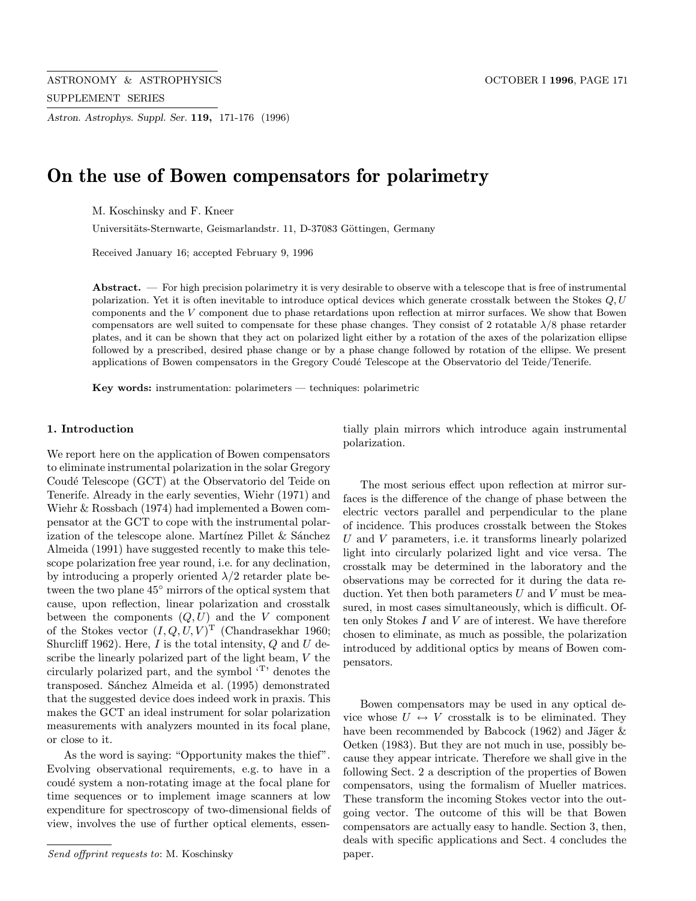Astron. Astrophys. Suppl. Ser. 119, 171-176 (1996)

# On the use of Bowen compensators for polarimetry

M. Koschinsky and F. Kneer

Universitäts-Sternwarte, Geismarlandstr. 11, D-37083 Göttingen, Germany

Received January 16; accepted February 9, 1996

Abstract. — For high precision polarimetry it is very desirable to observe with a telescope that is free of instrumental polarization. Yet it is often inevitable to introduce optical devices which generate crosstalk between the Stokes  $Q, U$ components and the V component due to phase retardations upon reflection at mirror surfaces. We show that Bowen compensators are well suited to compensate for these phase changes. They consist of 2 rotatable  $\lambda/8$  phase retarder plates, and it can be shown that they act on polarized light either by a rotation of the axes of the polarization ellipse followed by a prescribed, desired phase change or by a phase change followed by rotation of the ellipse. We present applications of Bowen compensators in the Gregory Coudé Telescope at the Observatorio del Teide/Tenerife.

Key words: instrumentation: polarimeters — techniques: polarimetric

#### 1. Introduction

We report here on the application of Bowen compensators to eliminate instrumental polarization in the solar Gregory Coudé Telescope (GCT) at the Observatorio del Teide on Tenerife. Already in the early seventies, Wiehr (1971) and Wiehr & Rossbach (1974) had implemented a Bowen compensator at the GCT to cope with the instrumental polarization of the telescope alone. Martínez Pillet  $&$  Sánchez Almeida (1991) have suggested recently to make this telescope polarization free year round, i.e. for any declination, by introducing a properly oriented  $\lambda/2$  retarder plate between the two plane 45◦ mirrors of the optical system that cause, upon reflection, linear polarization and crosstalk between the components  $(Q, U)$  and the V component of the Stokes vector  $(I, Q, U, V)^{\text{T}}$  (Chandrasekhar 1960; Shurcliff 1962). Here,  $I$  is the total intensity,  $Q$  and  $U$  describe the linearly polarized part of the light beam, V the circularly polarized part, and the symbol '<sup>T</sup>' denotes the transposed. Sánchez Almeida et al. (1995) demonstrated that the suggested device does indeed work in praxis. This makes the GCT an ideal instrument for solar polarization measurements with analyzers mounted in its focal plane, or close to it.

As the word is saying: "Opportunity makes the thief". Evolving observational requirements, e.g. to have in a coudé system a non-rotating image at the focal plane for time sequences or to implement image scanners at low expenditure for spectroscopy of two-dimensional fields of view, involves the use of further optical elements, essentially plain mirrors which introduce again instrumental polarization.

The most serious effect upon reflection at mirror surfaces is the difference of the change of phase between the electric vectors parallel and perpendicular to the plane of incidence. This produces crosstalk between the Stokes U and V parameters, i.e. it transforms linearly polarized light into circularly polarized light and vice versa. The crosstalk may be determined in the laboratory and the observations may be corrected for it during the data reduction. Yet then both parameters  $U$  and  $V$  must be measured, in most cases simultaneously, which is difficult. Often only Stokes I and V are of interest. We have therefore chosen to eliminate, as much as possible, the polarization introduced by additional optics by means of Bowen compensators.

Bowen compensators may be used in any optical device whose  $U \leftrightarrow V$  crosstalk is to be eliminated. They have been recommended by Babcock (1962) and Jäger  $\&$ Oetken (1983). But they are not much in use, possibly because they appear intricate. Therefore we shall give in the following Sect. 2 a description of the properties of Bowen compensators, using the formalism of Mueller matrices. These transform the incoming Stokes vector into the outgoing vector. The outcome of this will be that Bowen compensators are actually easy to handle. Section 3, then, deals with specific applications and Sect. 4 concludes the paper.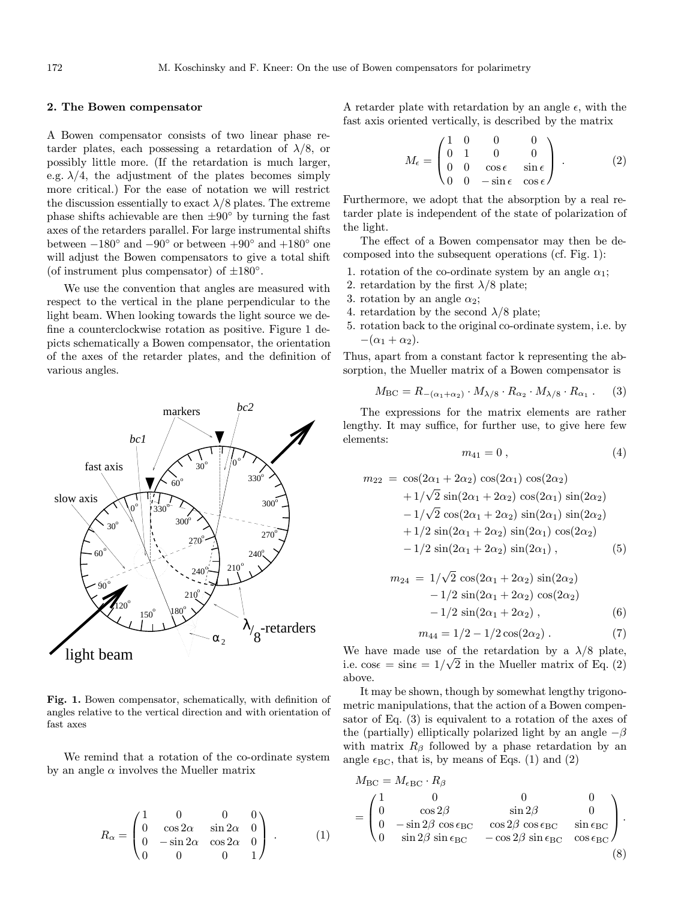#### 2. The Bowen compensator

A Bowen compensator consists of two linear phase retarder plates, each possessing a retardation of  $\lambda/8$ , or possibly little more. (If the retardation is much larger, e.g.  $\lambda/4$ , the adjustment of the plates becomes simply more critical.) For the ease of notation we will restrict the discussion essentially to exact  $\lambda/8$  plates. The extreme phase shifts achievable are then  $\pm 90^\circ$  by turning the fast axes of the retarders parallel. For large instrumental shifts between  $-180°$  and  $-90°$  or between  $+90°$  and  $+180°$  one will adjust the Bowen compensators to give a total shift (of instrument plus compensator) of  $\pm 180^\circ$ .

We use the convention that angles are measured with respect to the vertical in the plane perpendicular to the light beam. When looking towards the light source we define a counterclockwise rotation as positive. Figure 1 depicts schematically a Bowen compensator, the orientation of the axes of the retarder plates, and the definition of various angles.



Fig. 1. Bowen compensator, schematically, with definition of angles relative to the vertical direction and with orientation of fast axes

We remind that a rotation of the co-ordinate system by an angle  $\alpha$  involves the Mueller matrix

$$
R_{\alpha} = \begin{pmatrix} 1 & 0 & 0 & 0 \\ 0 & \cos 2\alpha & \sin 2\alpha & 0 \\ 0 & -\sin 2\alpha & \cos 2\alpha & 0 \\ 0 & 0 & 0 & 1 \end{pmatrix} .
$$
 (1)

A retarder plate with retardation by an angle  $\epsilon$ , with the fast axis oriented vertically, is described by the matrix

$$
M_{\epsilon} = \begin{pmatrix} 1 & 0 & 0 & 0 \\ 0 & 1 & 0 & 0 \\ 0 & 0 & \cos \epsilon & \sin \epsilon \\ 0 & 0 & -\sin \epsilon & \cos \epsilon \end{pmatrix} . \tag{2}
$$

Furthermore, we adopt that the absorption by a real retarder plate is independent of the state of polarization of the light.

The effect of a Bowen compensator may then be decomposed into the subsequent operations (cf. Fig. 1):

- 1. rotation of the co-ordinate system by an angle  $\alpha_1$ ;
- 2. retardation by the first  $\lambda/8$  plate;
- 3. rotation by an angle  $\alpha_2$ ;
- 4. retardation by the second  $\lambda/8$  plate;
- 5. rotation back to the original co-ordinate system, i.e. by  $-(\alpha_1 + \alpha_2).$

Thus, apart from a constant factor k representing the absorption, the Mueller matrix of a Bowen compensator is

$$
M_{\rm BC} = R_{-(\alpha_1 + \alpha_2)} \cdot M_{\lambda/8} \cdot R_{\alpha_2} \cdot M_{\lambda/8} \cdot R_{\alpha_1} . \tag{3}
$$

The expressions for the matrix elements are rather lengthy. It may suffice, for further use, to give here few elements:

$$
m_{41} = 0 \; , \tag{4}
$$

$$
m_{22} = \cos(2\alpha_1 + 2\alpha_2) \cos(2\alpha_1) \cos(2\alpha_2)
$$
  
+1/ $\sqrt{2}$  sin(2\alpha\_1 + 2\alpha\_2) cos(2\alpha\_1) sin(2\alpha\_2)  
-1/ $\sqrt{2}$  cos(2\alpha\_1 + 2\alpha\_2) sin(2\alpha\_1) sin(2\alpha\_2)  
+1/2 sin(2\alpha\_1 + 2\alpha\_2) sin(2\alpha\_1) cos(2\alpha\_2)  
-1/2 sin(2\alpha\_1 + 2\alpha\_2) sin(2\alpha\_1), (5)

$$
m_{24} = 1/\sqrt{2} \cos(2\alpha_1 + 2\alpha_2) \sin(2\alpha_2)
$$
  
-1/2 sin(2\alpha\_1 + 2\alpha\_2) cos(2\alpha\_2)  
-1/2 sin(2\alpha\_1 + 2\alpha\_2), (6)

$$
m_{44} = 1/2 - 1/2 \cos(2\alpha_2) . \tag{7}
$$

We have made use of the retardation by a  $\lambda/8$  plate, i.e.  $\cos \epsilon = \sin \epsilon = 1/\sqrt{2}$  in the Mueller matrix of Eq. (2) above.

It may be shown, though by somewhat lengthy trigonometric manipulations, that the action of a Bowen compensator of Eq. (3) is equivalent to a rotation of the axes of the (partially) elliptically polarized light by an angle  $-\beta$ with matrix  $R_\beta$  followed by a phase retardation by an angle  $\epsilon_{BC}$ , that is, by means of Eqs. (1) and (2)

$$
M_{\rm BC} = M_{\epsilon \rm BC} \cdot R_{\beta}
$$
  
= 
$$
\begin{pmatrix} 1 & 0 & 0 & 0 \\ 0 & \cos 2\beta & \sin 2\beta & 0 \\ 0 & -\sin 2\beta & \cos \epsilon_{\rm BC} & \cos 2\beta \cos \epsilon_{\rm BC} & \sin \epsilon_{\rm BC} \\ 0 & \sin 2\beta & \sin \epsilon_{\rm BC} & -\cos 2\beta & \sin \epsilon_{\rm BC} & \cos \epsilon_{\rm BC} \end{pmatrix}.
$$
 (8)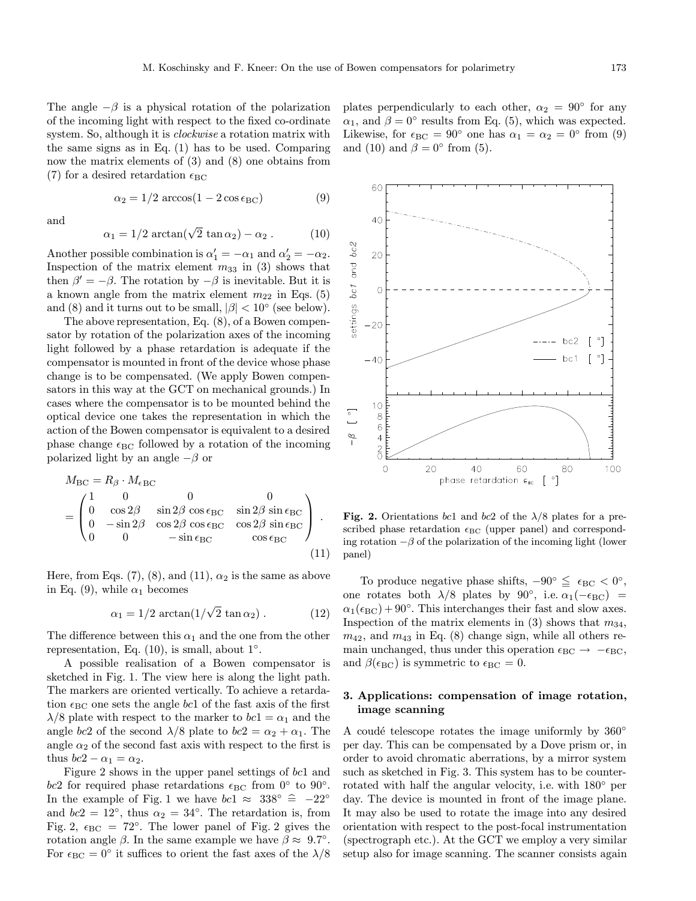The angle  $-\beta$  is a physical rotation of the polarization of the incoming light with respect to the fixed co-ordinate system. So, although it is *clockwise* a rotation matrix with the same signs as in Eq. (1) has to be used. Comparing now the matrix elements of (3) and (8) one obtains from (7) for a desired retardation  $\epsilon_{BC}$ 

$$
\alpha_2 = 1/2 \arccos(1 - 2\cos\epsilon_{BC})
$$
 (9)

and

$$
\alpha_1 = 1/2 \arctan(\sqrt{2} \tan \alpha_2) - \alpha_2. \tag{10}
$$

Another possible combination is  $\alpha'_1 = -\alpha_1$  and  $\alpha'_2 = -\alpha_2$ . Inspection of the matrix element  $m_{33}$  in (3) shows that then  $\beta' = -\beta$ . The rotation by  $-\beta$  is inevitable. But it is a known angle from the matrix element  $m_{22}$  in Eqs. (5) and (8) and it turns out to be small,  $|\beta| < 10^{\circ}$  (see below).

The above representation, Eq. (8), of a Bowen compensator by rotation of the polarization axes of the incoming light followed by a phase retardation is adequate if the compensator is mounted in front of the device whose phase change is to be compensated. (We apply Bowen compensators in this way at the GCT on mechanical grounds.) In cases where the compensator is to be mounted behind the optical device one takes the representation in which the action of the Bowen compensator is equivalent to a desired phase change  $\epsilon_{BC}$  followed by a rotation of the incoming polarized light by an angle  $-\beta$  or

$$
M_{\rm BC} = R_{\beta} \cdot M_{\epsilon \rm BC}
$$
  
= 
$$
\begin{pmatrix} 1 & 0 & 0 & 0 \\ 0 & \cos 2\beta & \sin 2\beta \cos \epsilon_{\rm BC} & \sin 2\beta \sin \epsilon_{\rm BC} \\ 0 & -\sin 2\beta & \cos 2\beta \cos \epsilon_{\rm BC} & \cos 2\beta \sin \epsilon_{\rm BC} \\ 0 & 0 & -\sin \epsilon_{\rm BC} & \cos \epsilon_{\rm BC} \end{pmatrix}.
$$
(11)

Here, from Eqs. (7), (8), and (11),  $\alpha_2$  is the same as above in Eq. (9), while  $\alpha_1$  becomes

$$
\alpha_1 = 1/2 \arctan(1/\sqrt{2} \tan \alpha_2). \tag{12}
$$

The difference between this  $\alpha_1$  and the one from the other representation, Eq.  $(10)$ , is small, about  $1°$ .

A possible realisation of a Bowen compensator is sketched in Fig. 1. The view here is along the light path. The markers are oriented vertically. To achieve a retardation  $\epsilon_{BC}$  one sets the angle bc1 of the fast axis of the first  $\lambda/8$  plate with respect to the marker to  $bc1 = \alpha_1$  and the angle bc2 of the second  $\lambda/8$  plate to  $bc2 = \alpha_2 + \alpha_1$ . The angle  $\alpha_2$  of the second fast axis with respect to the first is thus  $bc2 - \alpha_1 = \alpha_2$ .

Figure 2 shows in the upper panel settings of bc1 and bc2 for required phase retardations  $\epsilon_{BC}$  from  $0°$  to  $90°$ . In the example of Fig. 1 we have  $bc1 \approx 338° \approx -22°$ and  $bc2 = 12°$ , thus  $\alpha_2 = 34°$ . The retardation is, from Fig. 2,  $\epsilon_{BC} = 72^\circ$ . The lower panel of Fig. 2 gives the rotation angle  $\beta$ . In the same example we have  $\beta \approx 9.7^{\circ}$ . For  $\epsilon_{BC} = 0^{\circ}$  it suffices to orient the fast axes of the  $\lambda/8$  plates perpendicularly to each other,  $\alpha_2 = 90^\circ$  for any  $\alpha_1$ , and  $\beta = 0^{\circ}$  results from Eq. (5), which was expected. Likewise, for  $\epsilon_{BC} = 90^{\circ}$  one has  $\alpha_1 = \alpha_2 = 0^{\circ}$  from (9) and (10) and  $\beta = 0^{\circ}$  from (5).



Fig. 2. Orientations bc1 and bc2 of the  $\lambda/8$  plates for a prescribed phase retardation  $\epsilon_{BC}$  (upper panel) and corresponding rotation  $-\beta$  of the polarization of the incoming light (lower panel)

To produce negative phase shifts,  $-90^{\circ} \leq \epsilon_{BC} < 0^{\circ}$ , one rotates both  $\lambda/8$  plates by 90°, i.e.  $\alpha_1(-\epsilon_{BC})$  =  $\alpha_1(\epsilon_{BC}) + 90^\circ$ . This interchanges their fast and slow axes. Inspection of the matrix elements in (3) shows that  $m_{34}$ ,  $m_{42}$ , and  $m_{43}$  in Eq. (8) change sign, while all others remain unchanged, thus under this operation  $\epsilon_{BC} \rightarrow -\epsilon_{BC}$ , and  $\beta(\epsilon_{BC})$  is symmetric to  $\epsilon_{BC} = 0$ .

## 3. Applications: compensation of image rotation, image scanning

A coudé telescope rotates the image uniformly by  $360^\circ$ per day. This can be compensated by a Dove prism or, in order to avoid chromatic aberrations, by a mirror system such as sketched in Fig. 3. This system has to be counterrotated with half the angular velocity, i.e. with 180◦ per day. The device is mounted in front of the image plane. It may also be used to rotate the image into any desired orientation with respect to the post-focal instrumentation (spectrograph etc.). At the GCT we employ a very similar setup also for image scanning. The scanner consists again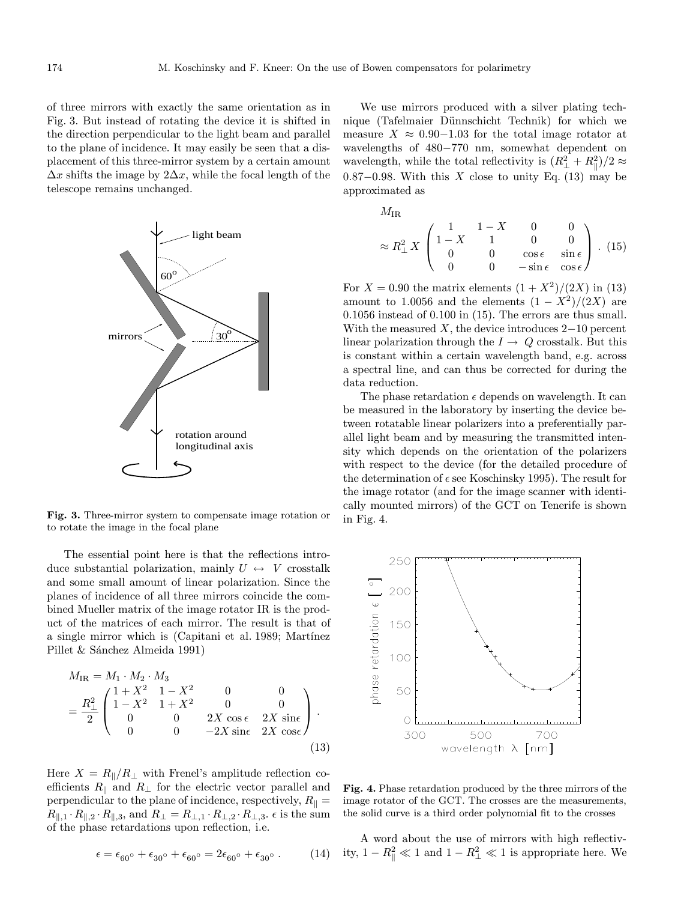of three mirrors with exactly the same orientation as in Fig. 3. But instead of rotating the device it is shifted in the direction perpendicular to the light beam and parallel to the plane of incidence. It may easily be seen that a displacement of this three-mirror system by a certain amount  $\Delta x$  shifts the image by  $2\Delta x$ , while the focal length of the telescope remains unchanged.



Fig. 3. Three-mirror system to compensate image rotation or to rotate the image in the focal plane

The essential point here is that the reflections introduce substantial polarization, mainly  $U \leftrightarrow V$  crosstalk and some small amount of linear polarization. Since the planes of incidence of all three mirrors coincide the combined Mueller matrix of the image rotator IR is the product of the matrices of each mirror. The result is that of a single mirror which is (Capitani et al. 1989; Martínez Pillet & Sánchez Almeida 1991)

$$
M_{\rm IR} = M_1 \cdot M_2 \cdot M_3
$$
  
=  $\frac{R_{\perp}^2}{2} \begin{pmatrix} 1 + X^2 & 1 - X^2 & 0 & 0 \\ 1 - X^2 & 1 + X^2 & 0 & 0 \\ 0 & 0 & 2X \cos \epsilon & 2X \sin \epsilon \\ 0 & 0 & -2X \sin \epsilon & 2X \cos \epsilon \end{pmatrix}$  (13)

Here  $X = R_{\parallel}/R_{\perp}$  with Frenel's amplitude reflection coefficients  $R_{\parallel}$  and  $R_{\perp}$  for the electric vector parallel and perpendicular to the plane of incidence, respectively,  $R_{\parallel} =$  $R_{\parallel,1} \cdot R_{\parallel,2} \cdot R_{\parallel,3}$ , and  $R_{\perp} = R_{\perp,1} \cdot R_{\perp,2} \cdot R_{\perp,3}$ .  $\epsilon$  is the sum of the phase retardations upon reflection, i.e.

$$
\epsilon = \epsilon_{60^{\circ}} + \epsilon_{30^{\circ}} + \epsilon_{60^{\circ}} = 2\epsilon_{60^{\circ}} + \epsilon_{30^{\circ}}.
$$
 (14)

We use mirrors produced with a silver plating technique (Tafelmaier Dünnschicht Technik) for which we measure  $X \approx 0.90-1.03$  for the total image rotator at wavelengths of 480−770 nm, somewhat dependent on wavelength, while the total reflectivity is  $(R_{\perp}^2 + R_{\parallel}^2)/2 \approx$ 0.87 $-0.98$ . With this X close to unity Eq. (13) may be approximated as

$$
M_{\rm IR} \approx R_{\perp}^{2} X \begin{pmatrix} 1 & 1 - X & 0 & 0 \\ 1 - X & 1 & 0 & 0 \\ 0 & 0 & \cos \epsilon & \sin \epsilon \\ 0 & 0 & -\sin \epsilon & \cos \epsilon \end{pmatrix} . (15)
$$

For  $X = 0.90$  the matrix elements  $(1 + X^2)/(2X)$  in (13) amount to 1.0056 and the elements  $(1 - X^2)/(2X)$  are 0.1056 instead of 0.100 in (15). The errors are thus small. With the measured  $X$ , the device introduces 2–10 percent linear polarization through the  $I \rightarrow Q$  crosstalk. But this is constant within a certain wavelength band, e.g. across a spectral line, and can thus be corrected for during the data reduction.

The phase retardation  $\epsilon$  depends on wavelength. It can be measured in the laboratory by inserting the device between rotatable linear polarizers into a preferentially parallel light beam and by measuring the transmitted intensity which depends on the orientation of the polarizers with respect to the device (for the detailed procedure of the determination of  $\epsilon$  see Koschinsky 1995). The result for the image rotator (and for the image scanner with identically mounted mirrors) of the GCT on Tenerife is shown in Fig. 4.



Fig. 4. Phase retardation produced by the three mirrors of the image rotator of the GCT. The crosses are the measurements, the solid curve is a third order polynomial fit to the crosses

A word about the use of mirrors with high reflectivity,  $1 - R_{\parallel}^2 \ll 1$  and  $1 - R_{\perp}^2 \ll 1$  is appropriate here. We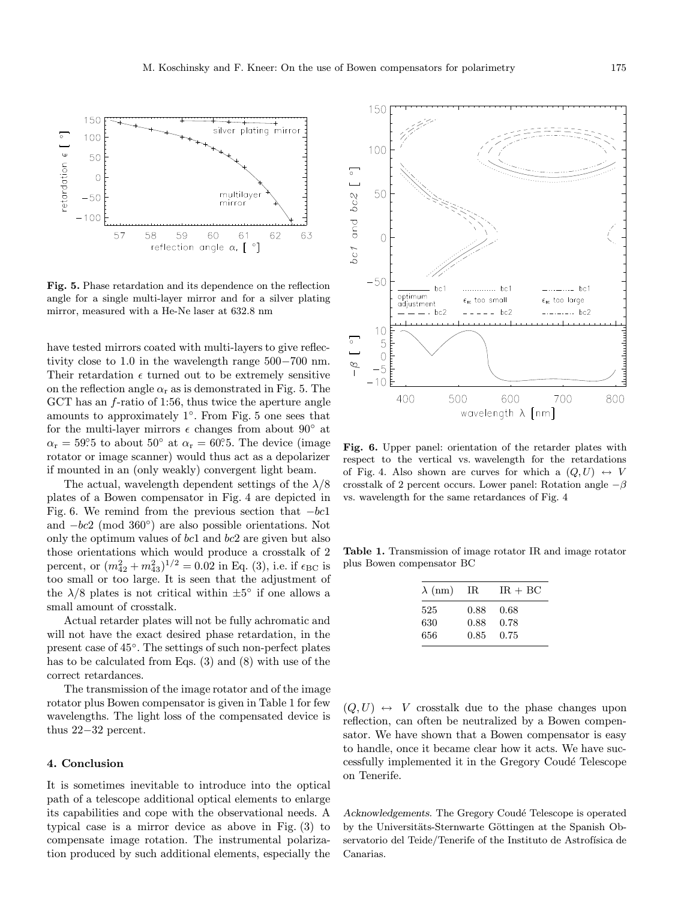

Fig. 5. Phase retardation and its dependence on the reflection angle for a single multi-layer mirror and for a silver plating mirror, measured with a He-Ne laser at 632.8 nm

have tested mirrors coated with multi-layers to give reflectivity close to 1.0 in the wavelength range 500−700 nm. Their retardation  $\epsilon$  turned out to be extremely sensitive on the reflection angle  $\alpha_r$  as is demonstrated in Fig. 5. The GCT has an f-ratio of 1:56, thus twice the aperture angle amounts to approximately 1◦. From Fig. 5 one sees that for the multi-layer mirrors  $\epsilon$  changes from about  $90^{\circ}$  at  $\alpha_{\rm r} = 59^\circ 5$  to about  $50^\circ$  at  $\alpha_{\rm r} = 60^\circ 5$ . The device (image rotator or image scanner) would thus act as a depolarizer if mounted in an (only weakly) convergent light beam.

The actual, wavelength dependent settings of the  $\lambda/8$ plates of a Bowen compensator in Fig. 4 are depicted in Fig. 6. We remind from the previous section that  $-bc1$ and −bc2 (mod 360◦) are also possible orientations. Not only the optimum values of bc1 and bc2 are given but also those orientations which would produce a crosstalk of 2 percent, or  $(m_{42}^2 + m_{43}^2)^{1/2} = 0.02$  in Eq. (3), i.e. if  $\epsilon_{\text{BC}}$  is too small or too large. It is seen that the adjustment of the  $\lambda/8$  plates is not critical within  $\pm 5^{\circ}$  if one allows a small amount of crosstalk.

Actual retarder plates will not be fully achromatic and will not have the exact desired phase retardation, in the present case of 45◦. The settings of such non-perfect plates has to be calculated from Eqs. (3) and (8) with use of the correct retardances.

The transmission of the image rotator and of the image rotator plus Bowen compensator is given in Table 1 for few wavelengths. The light loss of the compensated device is thus 22−32 percent.

# 4. Conclusion

It is sometimes inevitable to introduce into the optical path of a telescope additional optical elements to enlarge its capabilities and cope with the observational needs. A typical case is a mirror device as above in Fig. (3) to compensate image rotation. The instrumental polarization produced by such additional elements, especially the



Fig. 6. Upper panel: orientation of the retarder plates with respect to the vertical vs. wavelength for the retardations of Fig. 4. Also shown are curves for which a  $(Q, U) \leftrightarrow V$ crosstalk of 2 percent occurs. Lower panel: Rotation angle  $-\beta$ vs. wavelength for the same retardances of Fig. 4

Table 1. Transmission of image rotator IR and image rotator plus Bowen compensator BC

| $\lambda$ (nm) | IR.  | $IR + BC$ |
|----------------|------|-----------|
| 525            | 0.88 | 0.68      |
| 630            | 0.88 | 0.78      |
| 656            | 0.85 | 0.75      |

 $(Q, U) \leftrightarrow V$  crosstalk due to the phase changes upon reflection, can often be neutralized by a Bowen compensator. We have shown that a Bowen compensator is easy to handle, once it became clear how it acts. We have successfully implemented it in the Gregory Coudé Telescope on Tenerife.

Acknowledgements. The Gregory Coudé Telescope is operated by the Universitäts-Sternwarte Göttingen at the Spanish Observatorio del Teide/Tenerife of the Instituto de Astrofísica de Canarias.